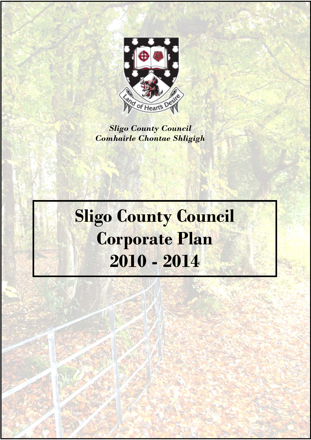

*Sligo County Council Comhairle Chontae Shligigh* 

# **Sligo County Council Corporate Plan 2010 - 2014**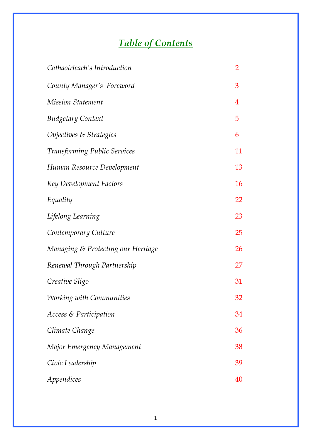# *Table of Contents*

| Cathaoirleach's Introduction       | $\overline{2}$   |
|------------------------------------|------------------|
| County Manager's Foreword          | 3                |
| <b>Mission Statement</b>           | $\boldsymbol{4}$ |
| <b>Budgetary Context</b>           | 5                |
| Objectives & Strategies            | 6                |
| Transforming Public Services       | 11               |
| Human Resource Development         | 13               |
| Key Development Factors            | 16               |
| Equality                           | 22               |
| Lifelong Learning                  | 23               |
| Contemporary Culture               | 25               |
| Managing & Protecting our Heritage | 26               |
| Renewal Through Partnership        | 27               |
| Creative Sligo                     | 31               |
| <b>Working with Communities</b>    | 32               |
| Access & Participation             | 34               |
| Climate Change                     | 36               |
| Major Emergency Management         | 38               |
| Civic Leadership                   | 39               |
| Appendices                         | 40               |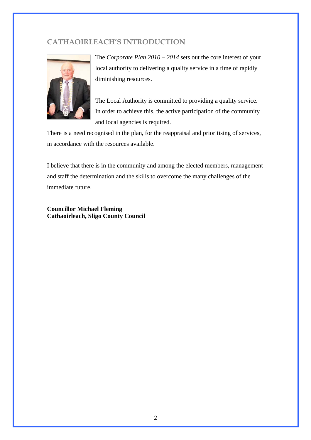# **CATHAOIRLEACH'S INTRODUCTION**



The *Corporate Plan 2010 – 2014* sets out the core interest of your local authority to delivering a quality service in a time of rapidly diminishing resources.

The Local Authority is committed to providing a quality service. In order to achieve this, the active participation of the community and local agencies is required.

There is a need recognised in the plan, for the reappraisal and prioritising of services, in accordance with the resources available.

I believe that there is in the community and among the elected members, management and staff the determination and the skills to overcome the many challenges of the immediate future.

**Councillor Michael Fleming Cathaoirleach, Sligo County Council**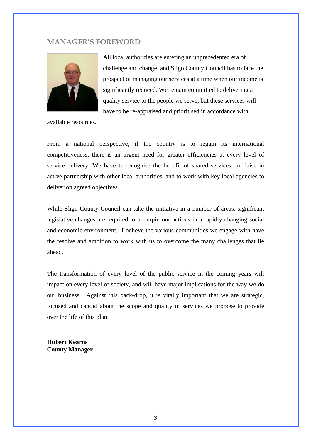# **MANAGER'S FOREWORD**



All local authorities are entering an unprecedented era of challenge and change, and Sligo County Council has to face the prospect of managing our services at a time when our income is significantly reduced. We remain committed to delivering a quality service to the people we serve, but these services will have to be re-appraised and prioritised in accordance with

available resources.

From a national perspective, if the country is to regain its international competitiveness, there is an urgent need for greater efficiencies at every level of service delivery. We have to recognise the benefit of shared services, to liaise in active partnership with other local authorities, and to work with key local agencies to deliver on agreed objectives.

While Sligo County Council can take the initiative in a number of areas, significant legislative changes are required to underpin our actions in a rapidly changing social and economic environment. I believe the various communities we engage with have the resolve and ambition to work with us to overcome the many challenges that lie ahead.

The transformation of every level of the public service in the coming years will impact on every level of society, and will have major implications for the way we do our business. Against this back-drop, it is vitally important that we are strategic, focused and candid about the scope and quality of services we propose to provide over the life of this plan.

**Hubert Kearns County Manager**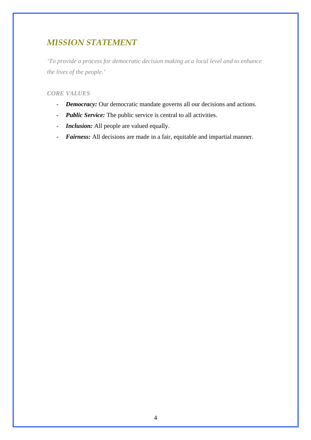# *MISSION STATEMENT*

*'To provide a process for democratic decision making at a local level and to enhance the lives of the people.'* 

# *CORE VALUES*

- *Democracy:* Our democratic mandate governs all our decisions and actions.
- *Public Service:* The public service is central to all activities.
- *Inclusion:* All people are valued equally.
- *Fairness:* All decisions are made in a fair, equitable and impartial manner.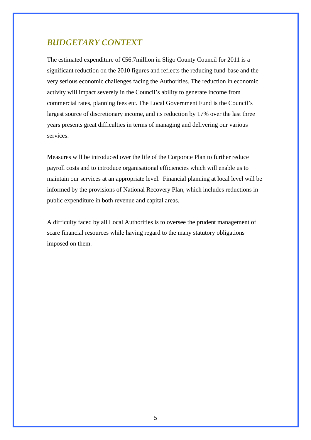# *BUDGETARY CONTEXT*

The estimated expenditure of  $\epsilon$ 56.7million in Sligo County Council for 2011 is a significant reduction on the 2010 figures and reflects the reducing fund-base and the very serious economic challenges facing the Authorities. The reduction in economic activity will impact severely in the Council's ability to generate income from commercial rates, planning fees etc. The Local Government Fund is the Council's largest source of discretionary income, and its reduction by 17% over the last three years presents great difficulties in terms of managing and delivering our various services.

Measures will be introduced over the life of the Corporate Plan to further reduce payroll costs and to introduce organisational efficiencies which will enable us to maintain our services at an appropriate level. Financial planning at local level will be informed by the provisions of National Recovery Plan, which includes reductions in public expenditure in both revenue and capital areas.

A difficulty faced by all Local Authorities is to oversee the prudent management of scare financial resources while having regard to the many statutory obligations imposed on them.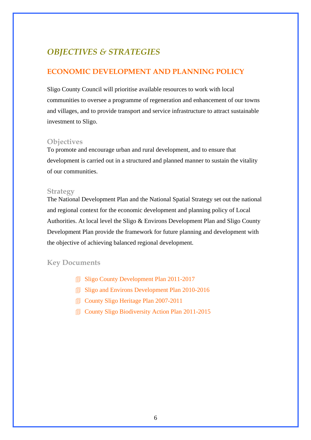# *OBJECTIVES & STRATEGIES*

# **ECONOMIC DEVELOPMENT AND PLANNING POLICY**

Sligo County Council will prioritise available resources to work with local communities to oversee a programme of regeneration and enhancement of our towns and villages, and to provide transport and service infrastructure to attract sustainable investment to Sligo.

# **Objectives**

To promote and encourage urban and rural development, and to ensure that development is carried out in a structured and planned manner to sustain the vitality of our communities.

#### **Strategy**

The National Development Plan and the National Spatial Strategy set out the national and regional context for the economic development and planning policy of Local Authorities. At local level the Sligo & Environs Development Plan and Sligo County Development Plan provide the framework for future planning and development with the objective of achieving balanced regional development.

- **Sligo County Development Plan 2011-2017**
- Sligo and Environs Development Plan 2010-2016
- County Sligo Heritage Plan 2007-2011
- **County Sligo Biodiversity Action Plan 2011-2015**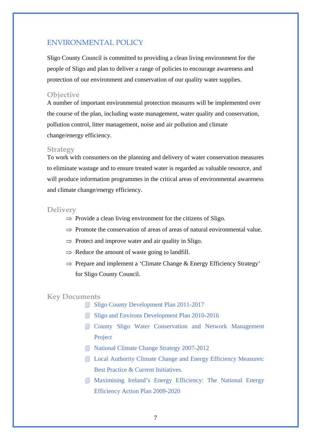# ENVIRONMENTAL POLICY

Sligo County Council is committed to providing a clean living environment for the people of Sligo and plan to deliver a range of policies to encourage awareness and protection of our environment and conservation of our quality water supplies.

#### **Objective**

A number of important environmental protection measures will be implemented over the course of the plan, including waste management, water quality and conservation, pollution control, litter management, noise and air pollution and climate change/energy efficiency.

#### **Strategy**

To work with consumers on the planning and delivery of water conservation measures to eliminate wastage and to ensure treated water is regarded as valuable resource, and will produce information programmes in the critical areas of environmental awareness and climate change/energy efficiency.

#### **Delivery**

- $\Rightarrow$  Provide a clean living environment for the citizens of Sligo.
- $\Rightarrow$  Promote the conservation of areas of areas of natural environmental value.
- $\Rightarrow$  Protect and improve water and air quality in Sligo.
- $\Rightarrow$  Reduce the amount of waste going to landfill.
- ⇒ Prepare and implement a 'Climate Change & Energy Efficiency Strategy' for Sligo County Council.

- Sligo County Development Plan 2011-2017
- Sligo and Environs Development Plan 2010-2016
- County Sligo Water Conservation and Network Management Project
- **I** National Climate Change Strategy 2007-2012
- **I** Local Authority Climate Change and Energy Efficiency Measures: Best Practice & Current Initiatives.
- Maximising Ireland's Energy Efficiency: The National Energy Efficiency Action Plan 2009-2020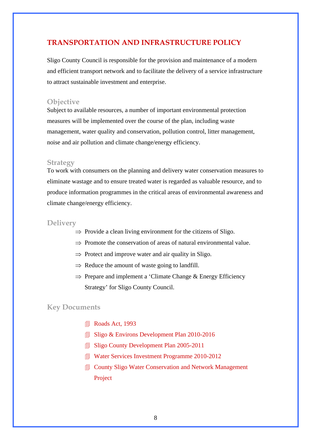# **TRANSPORTATION AND INFRASTRUCTURE POLICY**

Sligo County Council is responsible for the provision and maintenance of a modern and efficient transport network and to facilitate the delivery of a service infrastructure to attract sustainable investment and enterprise.

#### **Objective**

Subject to available resources, a number of important environmental protection measures will be implemented over the course of the plan, including waste management, water quality and conservation, pollution control, litter management, noise and air pollution and climate change/energy efficiency.

#### **Strategy**

To work with consumers on the planning and delivery water conservation measures to eliminate wastage and to ensure treated water is regarded as valuable resource, and to produce information programmes in the critical areas of environmental awareness and climate change/energy efficiency.

#### **Delivery**

- $\Rightarrow$  Provide a clean living environment for the citizens of Sligo.
- $\Rightarrow$  Promote the conservation of areas of natural environmental value.
- $\Rightarrow$  Protect and improve water and air quality in Sligo.
- $\Rightarrow$  Reduce the amount of waste going to landfill.
- ⇒ Prepare and implement a 'Climate Change & Energy Efficiency Strategy' for Sligo County Council.

- Roads Act, 1993
- Sligo & Environs Development Plan 2010-2016
- Sligo County Development Plan 2005-2011
- **Water Services Investment Programme 2010-2012**
- **I** County Sligo Water Conservation and Network Management Project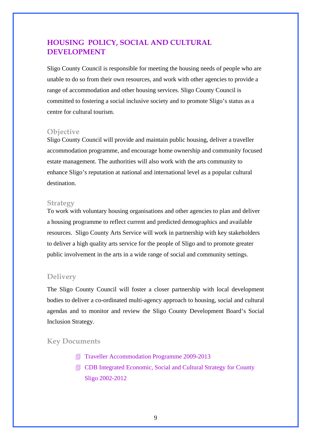# **HOUSING POLICY, SOCIAL AND CULTURAL DEVELOPMENT**

Sligo County Council is responsible for meeting the housing needs of people who are unable to do so from their own resources, and work with other agencies to provide a range of accommodation and other housing services. Sligo County Council is committed to fostering a social inclusive society and to promote Sligo's status as a centre for cultural tourism.

### **Objective**

Sligo County Council will provide and maintain public housing, deliver a traveller accommodation programme, and encourage home ownership and community focused estate management. The authorities will also work with the arts community to enhance Sligo's reputation at national and international level as a popular cultural destination.

#### **Strategy**

To work with voluntary housing organisations and other agencies to plan and deliver a housing programme to reflect current and predicted demographics and available resources. Sligo County Arts Service will work in partnership with key stakeholders to deliver a high quality arts service for the people of Sligo and to promote greater public involvement in the arts in a wide range of social and community settings.

# **Delivery**

The Sligo County Council will foster a closer partnership with local development bodies to deliver a co-ordinated multi-agency approach to housing, social and cultural agendas and to monitor and review the Sligo County Development Board's Social Inclusion Strategy.

- Traveller Accommodation Programme 2009-2013
- **I** CDB Integrated Economic, Social and Cultural Strategy for County Sligo 2002-2012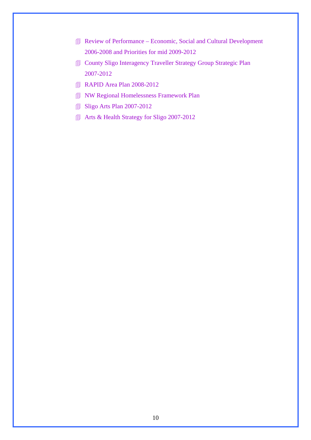- Review of Performance Economic, Social and Cultural Development 2006-2008 and Priorities for mid 2009-2012
- County Sligo Interagency Traveller Strategy Group Strategic Plan 2007-2012
- **RAPID Area Plan 2008-2012**
- **NW Regional Homelessness Framework Plan**
- **Sligo Arts Plan 2007-2012**
- Arts & Health Strategy for Sligo 2007-2012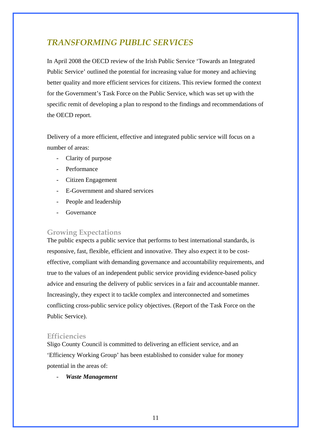# *TRANSFORMING PUBLIC SERVICES*

In April 2008 the OECD review of the Irish Public Service 'Towards an Integrated Public Service' outlined the potential for increasing value for money and achieving better quality and more efficient services for citizens. This review formed the context for the Government's Task Force on the Public Service, which was set up with the specific remit of developing a plan to respond to the findings and recommendations of the OECD report.

Delivery of a more efficient, effective and integrated public service will focus on a number of areas:

- Clarity of purpose
- Performance
- Citizen Engagement
- E-Government and shared services
- People and leadership
- **Governance**

# **Growing Expectations**

The public expects a public service that performs to best international standards, is responsive, fast, flexible, efficient and innovative. They also expect it to be costeffective, compliant with demanding governance and accountability requirements, and true to the values of an independent public service providing evidence-based policy advice and ensuring the delivery of public services in a fair and accountable manner. Increasingly, they expect it to tackle complex and interconnected and sometimes conflicting cross-public service policy objectives. (Report of the Task Force on the Public Service).

# **Efficiencies**

Sligo County Council is committed to delivering an efficient service, and an 'Efficiency Working Group' has been established to consider value for money potential in the areas of:

- *Waste Management*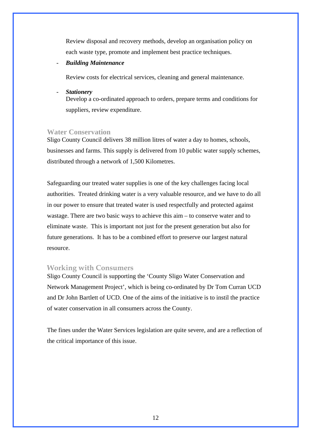Review disposal and recovery methods, develop an organisation policy on each waste type, promote and implement best practice techniques.

- *Building Maintenance* 

Review costs for electrical services, cleaning and general maintenance.

- *Stationery*  Develop a co-ordinated approach to orders, prepare terms and conditions for suppliers, review expenditure.

#### **Water Conservation**

Sligo County Council delivers 38 million litres of water a day to homes, schools, businesses and farms. This supply is delivered from 10 public water supply schemes, distributed through a network of 1,500 Kilometres.

Safeguarding our treated water supplies is one of the key challenges facing local authorities. Treated drinking water is a very valuable resource, and we have to do all in our power to ensure that treated water is used respectfully and protected against wastage. There are two basic ways to achieve this aim – to conserve water and to eliminate waste. This is important not just for the present generation but also for future generations. It has to be a combined effort to preserve our largest natural resource.

#### **Working with Consumers**

Sligo County Council is supporting the 'County Sligo Water Conservation and Network Management Project', which is being co-ordinated by Dr Tom Curran UCD and Dr John Bartlett of UCD. One of the aims of the initiative is to instil the practice of water conservation in all consumers across the County.

The fines under the Water Services legislation are quite severe, and are a reflection of the critical importance of this issue.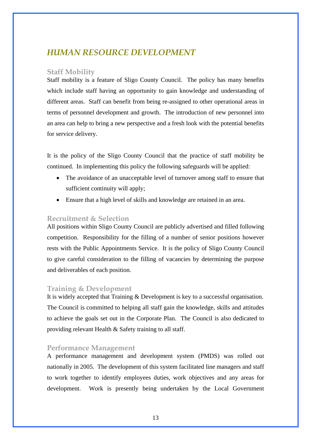# *HUMAN RESOURCE DEVELOPMENT*

# **Staff Mobility**

Staff mobility is a feature of Sligo County Council. The policy has many benefits which include staff having an opportunity to gain knowledge and understanding of different areas. Staff can benefit from being re-assigned to other operational areas in terms of personnel development and growth. The introduction of new personnel into an area can help to bring a new perspective and a fresh look with the potential benefits for service delivery.

It is the policy of the Sligo County Council that the practice of staff mobility be continued. In implementing this policy the following safeguards will be applied:

- The avoidance of an unacceptable level of turnover among staff to ensure that sufficient continuity will apply;
- Ensure that a high level of skills and knowledge are retained in an area.

# **Recruitment & Selection**

All positions within Sligo County Council are publicly advertised and filled following competition. Responsibility for the filling of a number of senior positions however rests with the Public Appointments Service. It is the policy of Sligo County Council to give careful consideration to the filling of vacancies by determining the purpose and deliverables of each position.

# **Training & Development**

It is widely accepted that Training & Development is key to a successful organisation. The Council is committed to helping all staff gain the knowledge, skills and attitudes to achieve the goals set out in the Corporate Plan. The Council is also dedicated to providing relevant Health & Safety training to all staff.

# **Performance Management**

A performance management and development system (PMDS) was rolled out nationally in 2005. The development of this system facilitated line managers and staff to work together to identify employees duties, work objectives and any areas for development. Work is presently being undertaken by the Local Government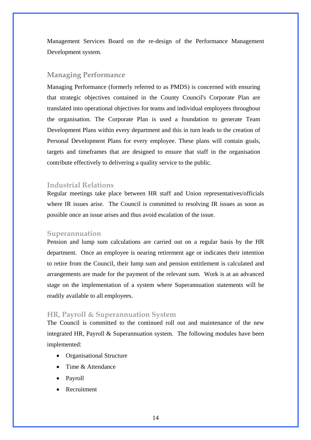Management Services Board on the re-design of the Performance Management Development system.

# **Managing Performance**

Managing Performance (formerly referred to as PMDS) is concerned with ensuring that strategic objectives contained in the County Council's Corporate Plan are translated into operational objectives for teams and individual employees throughout the organisation. The Corporate Plan is used a foundation to generate Team Development Plans within every department and this in turn leads to the creation of Personal Development Plans for every employee. These plans will contain goals, targets and timeframes that are designed to ensure that staff in the organisation contribute effectively to delivering a quality service to the public.

#### **Industrial Relations**

Regular meetings take place between HR staff and Union representatives/officials where IR issues arise. The Council is committed to resolving IR issues as soon as possible once an issue arises and thus avoid escalation of the issue.

#### **Superannuation**

Pension and lump sum calculations are carried out on a regular basis by the HR department. Once an employee is nearing retirement age or indicates their intention to retire from the Council, their lump sum and pension entitlement is calculated and arrangements are made for the payment of the relevant sum. Work is at an advanced stage on the implementation of a system where Superannuation statements will be readily available to all employees.

#### **HR, Payroll & Superannuation System**

The Council is committed to the continued roll out and maintenance of the new integrated HR, Payroll & Superannuation system. The following modules have been implemented:

- Organisational Structure
- Time & Attendance
- Payroll
- **Recruitment**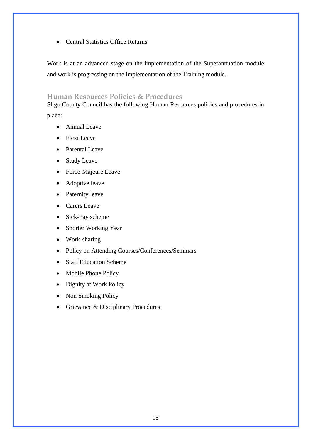• Central Statistics Office Returns

Work is at an advanced stage on the implementation of the Superannuation module and work is progressing on the implementation of the Training module.

# **Human Resources Policies & Procedures**

Sligo County Council has the following Human Resources policies and procedures in place:

- Annual Leave
- Flexi Leave
- Parental Leave
- Study Leave
- Force-Majeure Leave
- Adoptive leave
- Paternity leave
- Carers Leave
- Sick-Pay scheme
- Shorter Working Year
- Work-sharing
- Policy on Attending Courses/Conferences/Seminars
- Staff Education Scheme
- Mobile Phone Policy
- Dignity at Work Policy
- Non Smoking Policy
- Grievance & Disciplinary Procedures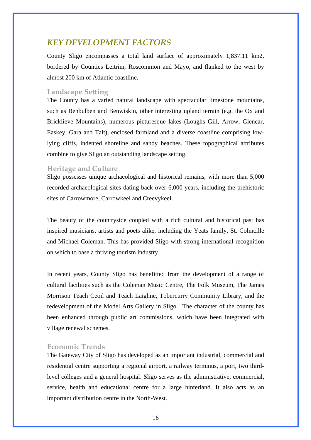# *KEY DEVELOPMENT FACTORS*

County Sligo encompasses a total land surface of approximately 1,837.11 km2, bordered by Counties Leitrim, Roscommon and Mayo, and flanked to the west by almost 200 km of Atlantic coastline.

# **Landscape Setting**

The County has a varied natural landscape with spectacular limestone mountains, such as Benbulben and Benwiskin, other interesting upland terrain (e.g. the Ox and Bricklieve Mountains), numerous picturesque lakes (Loughs Gill, Arrow, Glencar, Easkey, Gara and Talt), enclosed farmland and a diverse coastline comprising lowlying cliffs, indented shoreline and sandy beaches. These topographical attributes combine to give Sligo an outstanding landscape setting.

#### **Heritage and Culture**

Sligo possesses unique archaeological and historical remains, with more than 5,000 recorded archaeological sites dating back over 6,000 years, including the prehistoric sites of Carrowmore, Carrowkeel and Creevykeel.

The beauty of the countryside coupled with a rich cultural and historical past has inspired musicians, artists and poets alike, including the Yeats family, St. Colmcille and Michael Coleman. This has provided Sligo with strong international recognition on which to base a thriving tourism industry.

In recent years, County Sligo has benefitted from the development of a range of cultural facilities such as the Coleman Music Centre, The Folk Museum, The James Morrison Teach Ceoil and Teach Laighne, Tobercurry Community Library, and the redevelopment of the Model Arts Gallery in Sligo. The character of the county has been enhanced through public art commissions, which have been integrated with village renewal schemes.

#### **Economic Trends**

The Gateway City of Sligo has developed as an important industrial, commercial and residential centre supporting a regional airport, a railway terminus, a port, two thirdlevel colleges and a general hospital. Sligo serves as the administrative, commercial, service, health and educational centre for a large hinterland. It also acts as an important distribution centre in the North-West.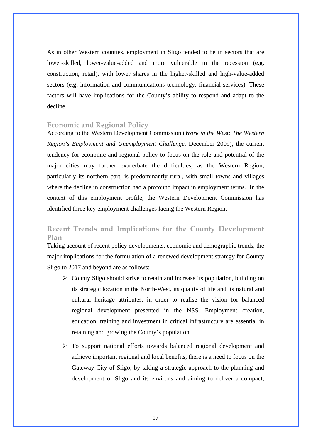As in other Western counties, employment in Sligo tended to be in sectors that are lower-skilled, lower-value-added and more vulnerable in the recession (**e.g.** construction, retail), with lower shares in the higher-skilled and high-value-added sectors (**e.g.** information and communications technology, financial services). These factors will have implications for the County's ability to respond and adapt to the decline.

### **Economic and Regional Policy**

According to the Western Development Commission (*Work in the West: The Western Region's Employment and Unemployment Challenge*, December 2009), the current tendency for economic and regional policy to focus on the role and potential of the major cities may further exacerbate the difficulties, as the Western Region, particularly its northern part, is predominantly rural, with small towns and villages where the decline in construction had a profound impact in employment terms. In the context of this employment profile, the Western Development Commission has identified three key employment challenges facing the Western Region.

# **Recent Trends and Implications for the County Development Plan**

Taking account of recent policy developments, economic and demographic trends, the major implications for the formulation of a renewed development strategy for County Sligo to 2017 and beyond are as follows:

- $\triangleright$  County Sligo should strive to retain and increase its population, building on its strategic location in the North-West, its quality of life and its natural and cultural heritage attributes, in order to realise the vision for balanced regional development presented in the NSS. Employment creation, education, training and investment in critical infrastructure are essential in retaining and growing the County's population.
- $\triangleright$  To support national efforts towards balanced regional development and achieve important regional and local benefits, there is a need to focus on the Gateway City of Sligo, by taking a strategic approach to the planning and development of Sligo and its environs and aiming to deliver a compact,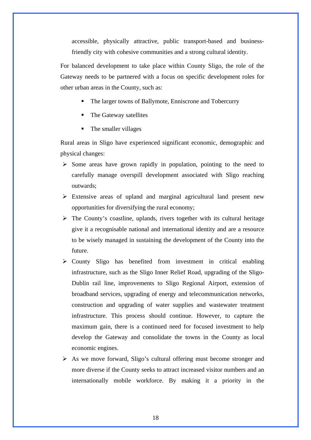accessible, physically attractive, public transport-based and businessfriendly city with cohesive communities and a strong cultural identity.

For balanced development to take place within County Sligo, the role of the Gateway needs to be partnered with a focus on specific development roles for other urban areas in the County, such as:

- The larger towns of Ballymote, Enniscrone and Tobercurry
- The Gateway satellites
- The smaller villages

Rural areas in Sligo have experienced significant economic, demographic and physical changes:

- $\triangleright$  Some areas have grown rapidly in population, pointing to the need to carefully manage overspill development associated with Sligo reaching outwards;
- $\triangleright$  Extensive areas of upland and marginal agricultural land present new opportunities for diversifying the rural economy;
- $\triangleright$  The County's coastline, uplands, rivers together with its cultural heritage give it a recognisable national and international identity and are a resource to be wisely managed in sustaining the development of the County into the future.
- $\triangleright$  County Sligo has benefited from investment in critical enabling infrastructure, such as the Sligo Inner Relief Road, upgrading of the Sligo-Dublin rail line, improvements to Sligo Regional Airport, extension of broadband services, upgrading of energy and telecommunication networks, construction and upgrading of water supplies and wastewater treatment infrastructure. This process should continue. However, to capture the maximum gain, there is a continued need for focused investment to help develop the Gateway and consolidate the towns in the County as local economic engines.
- $\triangleright$  As we move forward, Sligo's cultural offering must become stronger and more diverse if the County seeks to attract increased visitor numbers and an internationally mobile workforce. By making it a priority in the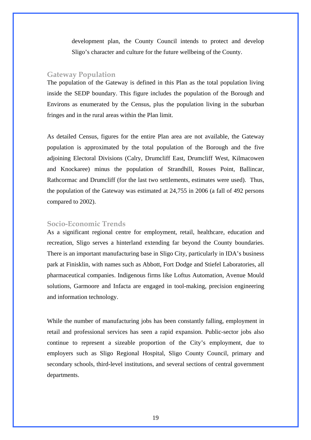development plan, the County Council intends to protect and develop Sligo's character and culture for the future wellbeing of the County.

# **Gateway Population**

The population of the Gateway is defined in this Plan as the total population living inside the SEDP boundary. This figure includes the population of the Borough and Environs as enumerated by the Census, plus the population living in the suburban fringes and in the rural areas within the Plan limit.

As detailed Census, figures for the entire Plan area are not available, the Gateway population is approximated by the total population of the Borough and the five adjoining Electoral Divisions (Calry, Drumcliff East, Drumcliff West, Kilmacowen and Knockaree) minus the population of Strandhill, Rosses Point, Ballincar, Rathcormac and Drumcliff (for the last two settlements, estimates were used). Thus, the population of the Gateway was estimated at 24,755 in 2006 (a fall of 492 persons compared to 2002).

#### **Socio-Economic Trends**

As a significant regional centre for employment, retail, healthcare, education and recreation, Sligo serves a hinterland extending far beyond the County boundaries. There is an important manufacturing base in Sligo City, particularly in IDA's business park at Finisklin, with names such as Abbott, Fort Dodge and Stiefel Laboratories, all pharmaceutical companies. Indigenous firms like Loftus Automation, Avenue Mould solutions, Garmoore and Infacta are engaged in tool-making, precision engineering and information technology.

While the number of manufacturing jobs has been constantly falling, employment in retail and professional services has seen a rapid expansion. Public-sector jobs also continue to represent a sizeable proportion of the City's employment, due to employers such as Sligo Regional Hospital, Sligo County Council, primary and secondary schools, third-level institutions, and several sections of central government departments.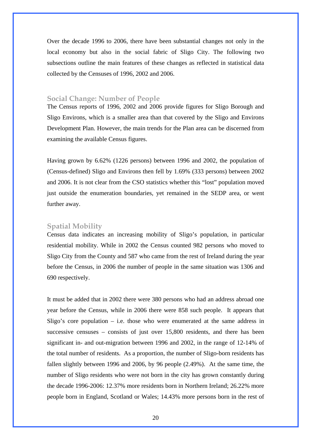Over the decade 1996 to 2006, there have been substantial changes not only in the local economy but also in the social fabric of Sligo City. The following two subsections outline the main features of these changes as reflected in statistical data collected by the Censuses of 1996, 2002 and 2006.

#### **Social Change: Number of People**

The Census reports of 1996, 2002 and 2006 provide figures for Sligo Borough and Sligo Environs, which is a smaller area than that covered by the Sligo and Environs Development Plan. However, the main trends for the Plan area can be discerned from examining the available Census figures.

Having grown by 6.62% (1226 persons) between 1996 and 2002, the population of (Census-defined) Sligo and Environs then fell by 1.69% (333 persons) between 2002 and 2006. It is not clear from the CSO statistics whether this "lost" population moved just outside the enumeration boundaries, yet remained in the SEDP area, or went further away.

### **Spatial Mobility**

Census data indicates an increasing mobility of Sligo's population, in particular residential mobility. While in 2002 the Census counted 982 persons who moved to Sligo City from the County and 587 who came from the rest of Ireland during the year before the Census, in 2006 the number of people in the same situation was 1306 and 690 respectively.

It must be added that in 2002 there were 380 persons who had an address abroad one year before the Census, while in 2006 there were 858 such people. It appears that Sligo's core population  $-$  i.e. those who were enumerated at the same address in successive censuses – consists of just over 15,800 residents, and there has been significant in- and out-migration between 1996 and 2002, in the range of 12-14% of the total number of residents. As a proportion, the number of Sligo-born residents has fallen slightly between 1996 and 2006, by 96 people (2.49%). At the same time, the number of Sligo residents who were not born in the city has grown constantly during the decade 1996-2006: 12.37% more residents born in Northern Ireland; 26.22% more people born in England, Scotland or Wales; 14.43% more persons born in the rest of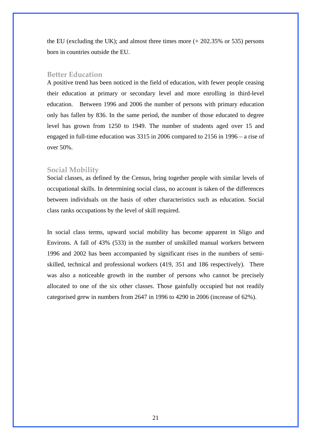the EU (excluding the UK); and almost three times more (+ 202.35% or 535) persons born in countries outside the EU.

#### **Better Education**

A positive trend has been noticed in the field of education, with fewer people ceasing their education at primary or secondary level and more enrolling in third-level education. Between 1996 and 2006 the number of persons with primary education only has fallen by 836. In the same period, the number of those educated to degree level has grown from 1250 to 1949. The number of students aged over 15 and engaged in full-time education was 3315 in 2006 compared to 2156 in 1996 – a rise of over 50%.

#### **Social Mobility**

Social classes, as defined by the Census, bring together people with similar levels of occupational skills. In determining social class, no account is taken of the differences between individuals on the basis of other characteristics such as education. Social class ranks occupations by the level of skill required.

In social class terms, upward social mobility has become apparent in Sligo and Environs. A fall of 43% (533) in the number of unskilled manual workers between 1996 and 2002 has been accompanied by significant rises in the numbers of semiskilled, technical and professional workers (419, 351 and 186 respectively). There was also a noticeable growth in the number of persons who cannot be precisely allocated to one of the six other classes. Those gainfully occupied but not readily categorised grew in numbers from 2647 in 1996 to 4290 in 2006 (increase of 62%).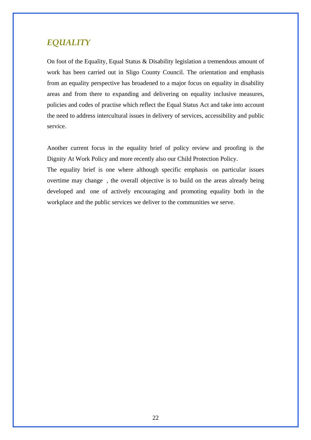# *EQUALITY*

On foot of the Equality, Equal Status & Disability legislation a tremendous amount of work has been carried out in Sligo County Council. The orientation and emphasis from an equality perspective has broadened to a major focus on equality in disability areas and from there to expanding and delivering on equality inclusive measures, policies and codes of practise which reflect the Equal Status Act and take into account the need to address intercultural issues in delivery of services, accessibility and public service.

Another current focus in the equality brief of policy review and proofing is the Dignity At Work Policy and more recently also our Child Protection Policy.

The equality brief is one where although specific emphasis on particular issues overtime may change , the overall objective is to build on the areas already being developed and one of actively encouraging and promoting equality both in the workplace and the public services we deliver to the communities we serve.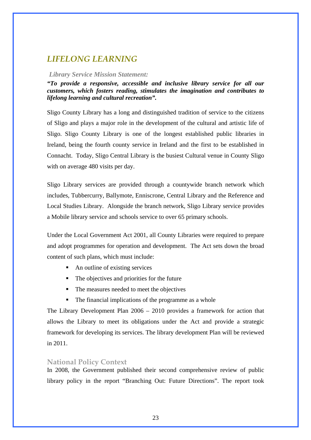# *LIFELONG LEARNING*

#### *Library Service Mission Statement:*

*"To provide a responsive, accessible and inclusive library service for all our customers, which fosters reading, stimulates the imagination and contributes to lifelong learning and cultural recreation".* 

Sligo County Library has a long and distinguished tradition of service to the citizens of Sligo and plays a major role in the development of the cultural and artistic life of Sligo. Sligo County Library is one of the longest established public libraries in Ireland, being the fourth county service in Ireland and the first to be established in Connacht. Today, Sligo Central Library is the busiest Cultural venue in County Sligo with on average 480 visits per day.

Sligo Library services are provided through a countywide branch network which includes, Tubbercurry, Ballymote, Enniscrone, Central Library and the Reference and Local Studies Library. Alongside the branch network, Sligo Library service provides a Mobile library service and schools service to over 65 primary schools.

Under the Local Government Act 2001, all County Libraries were required to prepare and adopt programmes for operation and development. The Act sets down the broad content of such plans, which must include:

- An outline of existing services
- The objectives and priorities for the future
- The measures needed to meet the objectives
- The financial implications of the programme as a whole

The Library Development Plan 2006 – 2010 provides a framework for action that allows the Library to meet its obligations under the Act and provide a strategic framework for developing its services. The library development Plan will be reviewed in 2011.

# **National Policy Context**

In 2008, the Government published their second comprehensive review of public library policy in the report "Branching Out: Future Directions". The report took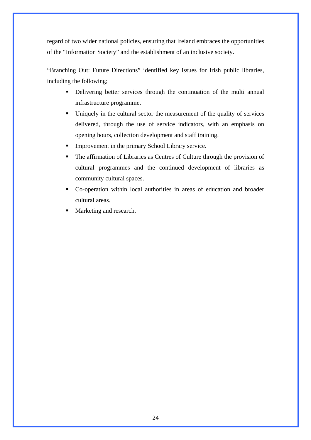regard of two wider national policies, ensuring that Ireland embraces the opportunities of the "Information Society" and the establishment of an inclusive society.

"Branching Out: Future Directions" identified key issues for Irish public libraries, including the following;

- Delivering better services through the continuation of the multi annual infrastructure programme.
- Uniquely in the cultural sector the measurement of the quality of services delivered, through the use of service indicators, with an emphasis on opening hours, collection development and staff training.
- **Improvement in the primary School Library service.**
- The affirmation of Libraries as Centres of Culture through the provision of cultural programmes and the continued development of libraries as community cultural spaces.
- Co-operation within local authorities in areas of education and broader cultural areas.
- Marketing and research.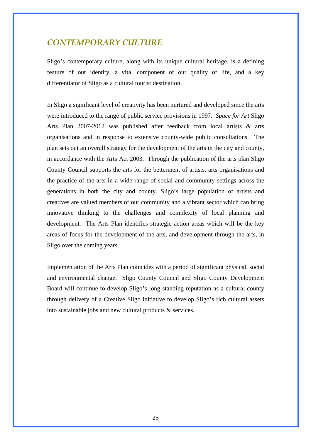# *CONTEMPORARY CULTURE*

Sligo's contemporary culture, along with its unique cultural heritage, is a defining feature of our identity, a vital component of our quality of life, and a key differentiator of Sligo as a cultural tourist destination.

In Sligo a significant level of creativity has been nurtured and developed since the arts were introduced to the range of public service provisions in 1997. *Space for Art* Sligo Arts Plan 2007-2012 was published after feedback from local artists & arts organisations and in response to extensive county-wide public consultations. The plan sets out an overall strategy for the development of the arts in the city and county, in accordance with the Arts Act 2003. Through the publication of the arts plan Sligo County Council supports the arts for the betterment of artists, arts organisations and the practice of the arts in a wide range of social and community settings across the generations in both the city and county. Sligo's large population of artists and creatives are valued members of our community and a vibrant sector which can bring innovative thinking to the challenges and complexity of local planning and development. The Arts Plan identifies strategic action areas which will be the key areas of focus for the development of the arts, and development through the arts, in Sligo over the coming years.

Implementation of the Arts Plan coincides with a period of significant physical, social and environmental change. Sligo County Council and Sligo County Development Board will continue to develop Sligo's long standing reputation as a cultural county through delivery of a Creative Sligo initiative to develop Sligo's rich cultural assets into sustainable jobs and new cultural products & services.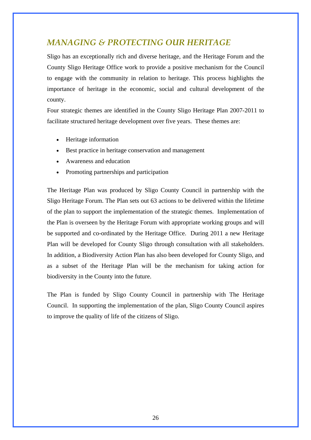# *MANAGING & PROTECTING OUR HERITAGE*

Sligo has an exceptionally rich and diverse heritage, and the Heritage Forum and the County Sligo Heritage Office work to provide a positive mechanism for the Council to engage with the community in relation to heritage. This process highlights the importance of heritage in the economic, social and cultural development of the county.

Four strategic themes are identified in the County Sligo Heritage Plan 2007-2011 to facilitate structured heritage development over five years. These themes are:

- Heritage information
- Best practice in heritage conservation and management
- Awareness and education
- Promoting partnerships and participation

The Heritage Plan was produced by Sligo County Council in partnership with the Sligo Heritage Forum. The Plan sets out 63 actions to be delivered within the lifetime of the plan to support the implementation of the strategic themes. Implementation of the Plan is overseen by the Heritage Forum with appropriate working groups and will be supported and co-ordinated by the Heritage Office. During 2011 a new Heritage Plan will be developed for County Sligo through consultation with all stakeholders. In addition, a Biodiversity Action Plan has also been developed for County Sligo, and as a subset of the Heritage Plan will be the mechanism for taking action for biodiversity in the County into the future.

The Plan is funded by Sligo County Council in partnership with The Heritage Council. In supporting the implementation of the plan, Sligo County Council aspires to improve the quality of life of the citizens of Sligo.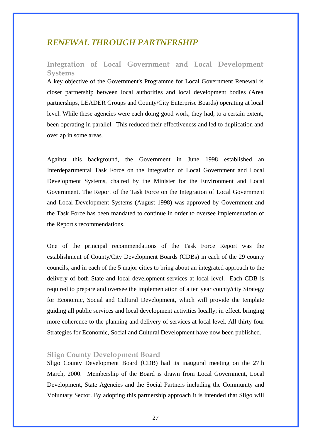# *RENEWAL THROUGH PARTNERSHIP*

# **Integration of Local Government and Local Development Systems**

A key objective of the Government's Programme for Local Government Renewal is closer partnership between local authorities and local development bodies (Area partnerships, LEADER Groups and County/City Enterprise Boards) operating at local level. While these agencies were each doing good work, they had, to a certain extent, been operating in parallel. This reduced their effectiveness and led to duplication and overlap in some areas.

Against this background, the Government in June 1998 established an Interdepartmental Task Force on the Integration of Local Government and Local Development Systems, chaired by the Minister for the Environment and Local Government. The Report of the Task Force on the Integration of Local Government and Local Development Systems (August 1998) was approved by Government and the Task Force has been mandated to continue in order to oversee implementation of the Report's recommendations.

One of the principal recommendations of the Task Force Report was the establishment of County/City Development Boards (CDBs) in each of the 29 county councils, and in each of the 5 major cities to bring about an integrated approach to the delivery of both State and local development services at local level. Each CDB is required to prepare and oversee the implementation of a ten year county/city Strategy for Economic, Social and Cultural Development, which will provide the template guiding all public services and local development activities locally; in effect, bringing more coherence to the planning and delivery of services at local level. All thirty four Strategies for Economic, Social and Cultural Development have now been published.

#### **Sligo County Development Board**

Sligo County Development Board (CDB) had its inaugural meeting on the 27th March, 2000. Membership of the Board is drawn from Local Government, Local Development, State Agencies and the Social Partners including the Community and Voluntary Sector. By adopting this partnership approach it is intended that Sligo will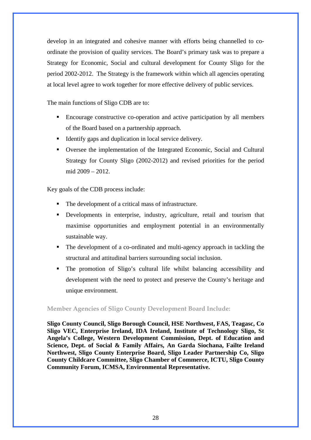develop in an integrated and cohesive manner with efforts being channelled to coordinate the provision of quality services. The Board's primary task was to prepare a Strategy for Economic, Social and cultural development for County Sligo for the period 2002-2012. The Strategy is the framework within which all agencies operating at local level agree to work together for more effective delivery of public services.

The main functions of Sligo CDB are to:

- Encourage constructive co-operation and active participation by all members of the Board based on a partnership approach.
- Identify gaps and duplication in local service delivery.
- Oversee the implementation of the Integrated Economic, Social and Cultural Strategy for County Sligo (2002-2012) and revised priorities for the period mid 2009 – 2012.

Key goals of the CDB process include:

- The development of a critical mass of infrastructure.
- Developments in enterprise, industry, agriculture, retail and tourism that maximise opportunities and employment potential in an environmentally sustainable way.
- The development of a co-ordinated and multi-agency approach in tackling the structural and attitudinal barriers surrounding social inclusion.
- The promotion of Sligo's cultural life whilst balancing accessibility and development with the need to protect and preserve the County's heritage and unique environment.

#### **Member Agencies of Sligo County Development Board Include:**

**Sligo County Council, Sligo Borough Council, HSE Northwest, FAS, Teagasc, Co Sligo VEC, Enterprise Ireland, IDA Ireland, Institute of Technology Sligo, St Angela's College, Western Development Commission, Dept. of Education and Science, Dept. of Social & Family Affairs, An Garda Siochana, Failte Ireland Northwest, Sligo County Enterprise Board, Sligo Leader Partnership Co, Sligo County Childcare Committee, Sligo Chamber of Commerce, ICTU, Sligo County Community Forum, ICMSA, Environmental Representative.**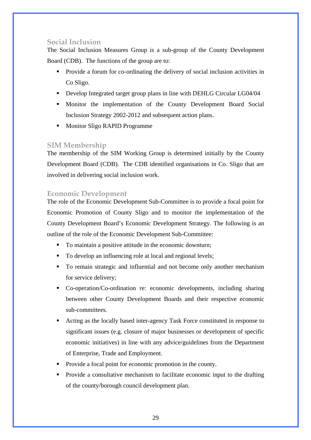# **Social Inclusion**

The Social Inclusion Measures Group is a sub-group of the County Development Board (CDB). The functions of the group are to:

- Provide a forum for co-ordinating the delivery of social inclusion activities in Co Sligo.
- Develop Integrated target group plans in line with DEHLG Circular LG04/04
- Monitor the implementation of the County Development Board Social Inclusion Strategy 2002-2012 and subsequent action plans.
- Monitor Sligo RAPID Programme

# **SIM Membership**

The membership of the SIM Working Group is determined initially by the County Development Board (CDB). The CDB identified organisations in Co. Sligo that are involved in delivering social inclusion work.

# **Economic Development**

The role of the Economic Development Sub-Committee is to provide a focal point for Economic Promotion of County Sligo and to monitor the implementation of the County Development Board's Economic Development Strategy. The following is an outline of the role of the Economic Development Sub-Committee:

- To maintain a positive attitude in the economic downturn;
- To develop an influencing role at local and regional levels;
- To remain strategic and influential and not become only another mechanism for service delivery;
- Co-operation/Co-ordination re: economic developments, including sharing between other County Development Boards and their respective economic sub-committees.
- Acting as the locally based inter-agency Task Force constituted in response to significant issues (e.g. closure of major businesses or development of specific economic initiatives) in line with any advice/guidelines from the Department of Enterprise, Trade and Employment.
- Provide a focal point for economic promotion in the county.
- Provide a consultative mechanism to facilitate economic input to the drafting of the county/borough council development plan.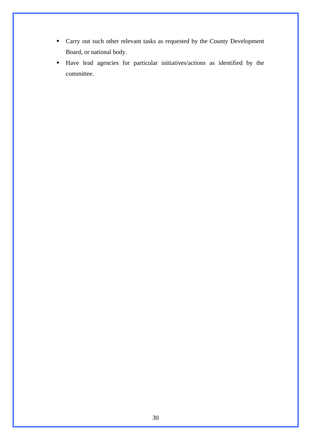- Carry out such other relevant tasks as requested by the County Development Board, or national body.
- Have lead agencies for particular initiatives/actions as identified by the committee.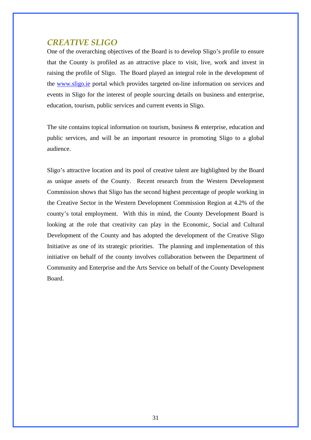# *CREATIVE SLIGO*

One of the overarching objectives of the Board is to develop Sligo's profile to ensure that the County is profiled as an attractive place to visit, live, work and invest in raising the profile of Sligo. The Board played an integral role in the development of the [www.sligo.ie](http://www.sligo.ie/) portal which provides targeted on-line information on services and events in Sligo for the interest of people sourcing details on business and enterprise, education, tourism, public services and current events in Sligo.

The site contains topical information on tourism, business & enterprise, education and public services, and will be an important resource in promoting Sligo to a global audience.

Sligo's attractive location and its pool of creative talent are highlighted by the Board as unique assets of the County. Recent research from the Western Development Commission shows that Sligo has the second highest percentage of people working in the Creative Sector in the Western Development Commission Region at 4.2% of the county's total employment. With this in mind, the County Development Board is looking at the role that creativity can play in the Economic, Social and Cultural Development of the County and has adopted the development of the Creative Sligo Initiative as one of its strategic priorities. The planning and implementation of this initiative on behalf of the county involves collaboration between the Department of Community and Enterprise and the Arts Service on behalf of the County Development Board.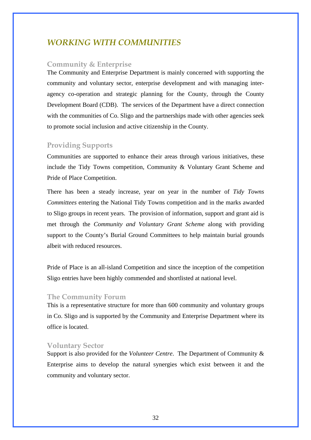# *WORKING WITH COMMUNITIES*

#### **Community & Enterprise**

The Community and Enterprise Department is mainly concerned with supporting the community and voluntary sector, enterprise development and with managing interagency co-operation and strategic planning for the County, through the County Development Board (CDB). The services of the Department have a direct connection with the communities of Co. Sligo and the partnerships made with other agencies seek to promote social inclusion and active citizenship in the County.

# **Providing Supports**

Communities are supported to enhance their areas through various initiatives, these include the Tidy Towns competition, Community & Voluntary Grant Scheme and Pride of Place Competition.

There has been a steady increase, year on year in the number of *Tidy Towns Committees* entering the National Tidy Towns competition and in the marks awarded to Sligo groups in recent years. The provision of information, support and grant aid is met through the *Community and Voluntary Grant Scheme* along with providing support to the County's Burial Ground Committees to help maintain burial grounds albeit with reduced resources.

Pride of Place is an all-island Competition and since the inception of the competition Sligo entries have been highly commended and shortlisted at national level.

#### **The Community Forum**

This is a representative structure for more than 600 community and voluntary groups in Co. Sligo and is supported by the Community and Enterprise Department where its office is located.

#### **Voluntary Sector**

Support is also provided for the *Volunteer Centre*. The Department of Community & Enterprise aims to develop the natural synergies which exist between it and the community and voluntary sector.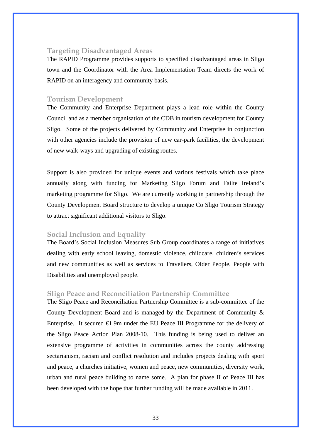# **Targeting Disadvantaged Areas**

The RAPID Programme provides supports to specified disadvantaged areas in Sligo town and the Coordinator with the Area Implementation Team directs the work of RAPID on an interagency and community basis.

### **Tourism Development**

The Community and Enterprise Department plays a lead role within the County Council and as a member organisation of the CDB in tourism development for County Sligo. Some of the projects delivered by Community and Enterprise in conjunction with other agencies include the provision of new car-park facilities, the development of new walk-ways and upgrading of existing routes.

Support is also provided for unique events and various festivals which take place annually along with funding for Marketing Sligo Forum and Failte Ireland's marketing programme for Sligo. We are currently working in partnership through the County Development Board structure to develop a unique Co Sligo Tourism Strategy to attract significant additional visitors to Sligo.

# **Social Inclusion and Equality**

The Board's Social Inclusion Measures Sub Group coordinates a range of initiatives dealing with early school leaving, domestic violence, childcare, children's services and new communities as well as services to Travellers, Older People, People with Disabilities and unemployed people.

#### **Sligo Peace and Reconciliation Partnership Committee**

The Sligo Peace and Reconciliation Partnership Committee is a sub-committee of the County Development Board and is managed by the Department of Community & Enterprise. It secured  $\bigoplus$ .9m under the EU Peace III Programme for the delivery of the Sligo Peace Action Plan 2008-10. This funding is being used to deliver an extensive programme of activities in communities across the county addressing sectarianism, racism and conflict resolution and includes projects dealing with sport and peace, a churches initiative, women and peace, new communities, diversity work, urban and rural peace building to name some. A plan for phase II of Peace III has been developed with the hope that further funding will be made available in 2011.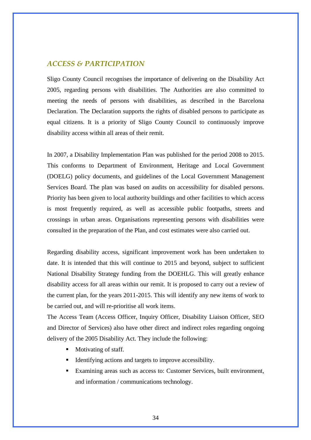# *ACCESS & PARTICIPATION*

Sligo County Council recognises the importance of delivering on the Disability Act 2005, regarding persons with disabilities. The Authorities are also committed to meeting the needs of persons with disabilities, as described in the Barcelona Declaration. The Declaration supports the rights of disabled persons to participate as equal citizens. It is a priority of Sligo County Council to continuously improve disability access within all areas of their remit.

In 2007, a Disability Implementation Plan was published for the period 2008 to 2015. This conforms to Department of Environment, Heritage and Local Government (DOELG) policy documents, and guidelines of the Local Government Management Services Board. The plan was based on audits on accessibility for disabled persons. Priority has been given to local authority buildings and other facilities to which access is most frequently required, as well as accessible public footpaths, streets and crossings in urban areas. Organisations representing persons with disabilities were consulted in the preparation of the Plan, and cost estimates were also carried out.

Regarding disability access, significant improvement work has been undertaken to date. It is intended that this will continue to 2015 and beyond, subject to sufficient National Disability Strategy funding from the DOEHLG. This will greatly enhance disability access for all areas within our remit. It is proposed to carry out a review of the current plan, for the years 2011-2015. This will identify any new items of work to be carried out, and will re-prioritise all work items.

The Access Team (Access Officer, Inquiry Officer, Disability Liaison Officer, SEO and Director of Services) also have other direct and indirect roles regarding ongoing delivery of the 2005 Disability Act. They include the following:

- Motivating of staff.
- Identifying actions and targets to improve accessibility.
- Examining areas such as access to: Customer Services, built environment, and information / communications technology.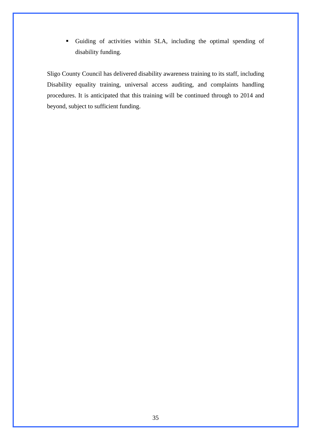Guiding of activities within SLA, including the optimal spending of disability funding.

Sligo County Council has delivered disability awareness training to its staff, including Disability equality training, universal access auditing, and complaints handling procedures. It is anticipated that this training will be continued through to 2014 and beyond, subject to sufficient funding.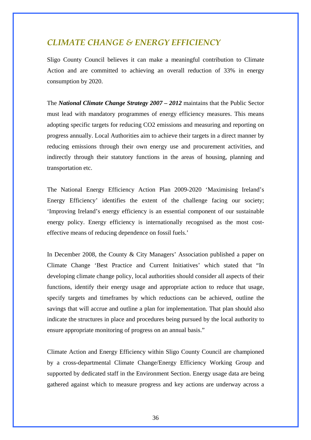# *CLIMATE CHANGE & ENERGY EFFICIENCY*

Sligo County Council believes it can make a meaningful contribution to Climate Action and are committed to achieving an overall reduction of 33% in energy consumption by 2020.

The *National Climate Change Strategy 2007 – 2012* maintains that the Public Sector must lead with mandatory programmes of energy efficiency measures. This means adopting specific targets for reducing CO2 emissions and measuring and reporting on progress annually. Local Authorities aim to achieve their targets in a direct manner by reducing emissions through their own energy use and procurement activities, and indirectly through their statutory functions in the areas of housing, planning and transportation etc.

The National Energy Efficiency Action Plan 2009-2020 'Maximising Ireland's Energy Efficiency' identifies the extent of the challenge facing our society; 'Improving Ireland's energy efficiency is an essential component of our sustainable energy policy. Energy efficiency is internationally recognised as the most costeffective means of reducing dependence on fossil fuels.'

In December 2008, the County & City Managers' Association published a paper on Climate Change 'Best Practice and Current Initiatives' which stated that "In developing climate change policy, local authorities should consider all aspects of their functions, identify their energy usage and appropriate action to reduce that usage, specify targets and timeframes by which reductions can be achieved, outline the savings that will accrue and outline a plan for implementation. That plan should also indicate the structures in place and procedures being pursued by the local authority to ensure appropriate monitoring of progress on an annual basis."

Climate Action and Energy Efficiency within Sligo County Council are championed by a cross-departmental Climate Change/Energy Efficiency Working Group and supported by dedicated staff in the Environment Section. Energy usage data are being gathered against which to measure progress and key actions are underway across a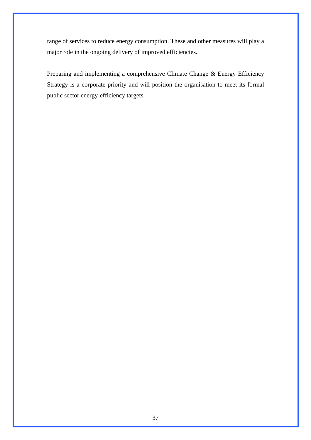range of services to reduce energy consumption. These and other measures will play a major role in the ongoing delivery of improved efficiencies.

Preparing and implementing a comprehensive Climate Change & Energy Efficiency Strategy is a corporate priority and will position the organisation to meet its formal public sector energy-efficiency targets.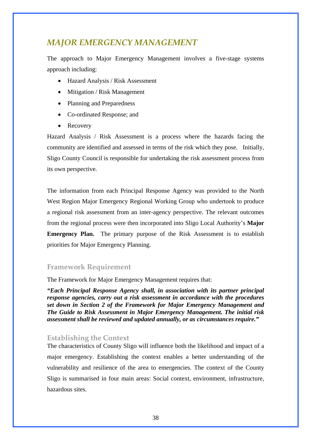# *MAJOR EMERGENCY MANAGEMENT*

The approach to Major Emergency Management involves a five-stage systems approach including:

- Hazard Analysis / Risk Assessment
- Mitigation / Risk Management
- Planning and Preparedness
- Co-ordinated Response; and
- Recovery

Hazard Analysis / Risk Assessment is a process where the hazards facing the community are identified and assessed in terms of the risk which they pose. Initially, Sligo County Council is responsible for undertaking the risk assessment process from its own perspective.

The information from each Principal Response Agency was provided to the North West Region Major Emergency Regional Working Group who undertook to produce a regional risk assessment from an inter-agency perspective. The relevant outcomes from the regional process were then incorporated into Sligo Local Authority's **Major Emergency Plan.** The primary purpose of the Risk Assessment is to establish priorities for Major Emergency Planning.

# **Framework Requirement**

The Framework for Major Emergency Management requires that:

*"Each Principal Response Agency shall, in association with its partner principal response agencies, carry out a risk assessment in accordance with the procedures set down in Section 2 of the Framework for Major Emergency Management and The Guide to Risk Assessment in Major Emergency Management. The initial risk assessment shall be reviewed and updated annually, or as circumstances require."* 

#### **Establishing the Context**

The characteristics of County Sligo will influence both the likelihood and impact of a major emergency. Establishing the context enables a better understanding of the vulnerability and resilience of the area to emergencies. The context of the County Sligo is summarised in four main areas: Social context, environment, infrastructure, hazardous sites.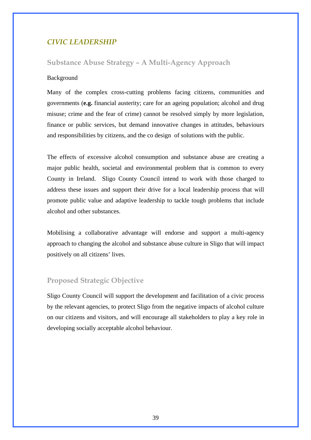# *CIVIC LEADERSHIP*

# **Substance Abuse Strategy – A Multi-Agency Approach**

### Background

Many of the complex cross-cutting problems facing citizens, communities and governments (**e.g.** financial austerity; care for an ageing population; alcohol and drug misuse; crime and the fear of crime) cannot be resolved simply by more legislation, finance or public services, but demand innovative changes in attitudes, behaviours and responsibilities by citizens, and the co design of solutions with the public.

The effects of excessive alcohol consumption and substance abuse are creating a major public health, societal and environmental problem that is common to every County in Ireland. Sligo County Council intend to work with those charged to address these issues and support their drive for a local leadership process that will promote public value and adaptive leadership to tackle tough problems that include alcohol and other substances.

Mobilising a collaborative advantage will endorse and support a multi-agency approach to changing the alcohol and substance abuse culture in Sligo that will impact positively on all citizens' lives.

# **Proposed Strategic Objective**

Sligo County Council will support the development and facilitation of a civic process by the relevant agencies, to protect Sligo from the negative impacts of alcohol culture on our citizens and visitors, and will encourage all stakeholders to play a key role in developing socially acceptable alcohol behaviour.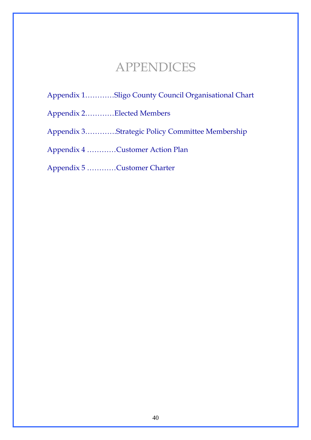# APPENDICES

Appendix 1…………Sligo County Council Organisational Chart

Appendix 2…………Elected Members

Appendix 3………….Strategic Policy Committee Membership

Appendix 4 …………Customer Action Plan

Appendix 5 …………Customer Charter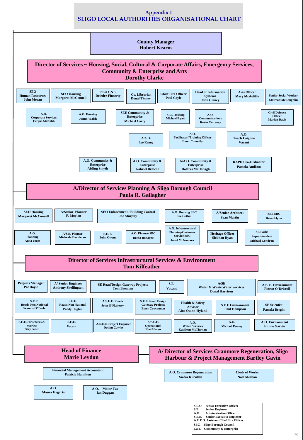

# **Appendix 1 SLIGO LOCAL AUTHORITIES ORGANISATIONAL CHART**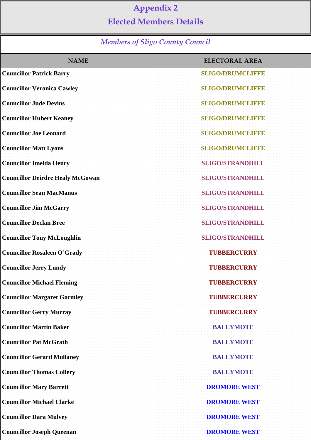# **Appendix 2**

# **Elected Members Details**

# *Members of Sligo County Council*

| <b>NAME</b>                             | <b>ELECTORAL AREA</b>   |
|-----------------------------------------|-------------------------|
| <b>Councillor Patrick Barry</b>         | <b>SLIGO/DRUMCLIFFE</b> |
| <b>Councillor Veronica Cawley</b>       | <b>SLIGO/DRUMCLIFFE</b> |
| <b>Councillor Jude Devins</b>           | <b>SLIGO/DRUMCLIFFE</b> |
| <b>Councillor Hubert Keaney</b>         | <b>SLIGO/DRUMCLIEFE</b> |
| <b>Councillor Joe Leonard</b>           | <b>SLIGO/DRUMCLIFFE</b> |
| <b>Councillor Matt Lyons</b>            | <b>SLIGO/DRUMCLIFFE</b> |
| <b>Councillor Imelda Henry</b>          | <b>SLIGO/STRANDHILL</b> |
| <b>Councillor Deirdre Healy McGowan</b> | <b>SLIGO/STRANDHILL</b> |
| <b>Councillor Sean MacManus</b>         | <b>SLIGO/STRANDHILL</b> |
| <b>Councillor Jim McGarry</b>           | <b>SLIGO/STRANDHILL</b> |
| <b>Councillor Declan Bree</b>           | <b>SLIGO/STRANDHILL</b> |
| <b>Councillor Tony McLoughlin</b>       | <b>SLIGO/STRANDHILL</b> |
| <b>Councillor Rosaleen O'Grady</b>      | <b>TUBBERCURRY</b>      |
| <b>Councillor Jerry Lundy</b>           | <b>TUBBERCURRY</b>      |
| <b>Councillor Michael Fleming</b>       | <b>TUBBERCURRY</b>      |
| <b>Councillor Margaret Gormley</b>      | <b>TUBBERCURRY</b>      |
| <b>Councillor Gerry Murray</b>          | <b>TUBBERCURRY</b>      |
| <b>Councillor Martin Baker</b>          | <b>BALLYMOTE</b>        |
| <b>Councillor Pat McGrath</b>           | <b>BALLYMOTE</b>        |
| <b>Councillor Gerard Mullaney</b>       | <b>BALLYMOTE</b>        |
| <b>Councillor Thomas Collery</b>        | <b>BALLYMOTE</b>        |
| <b>Councillor Mary Barrett</b>          | <b>DROMORE WEST</b>     |
| <b>Councillor Michael Clarke</b>        | <b>DROMORE WEST</b>     |
| <b>Councillor Dara Mulvey</b>           | <b>DROMORE WEST</b>     |
| <b>Councillor Joseph Queenan</b>        | <b>DROMORE WEST</b>     |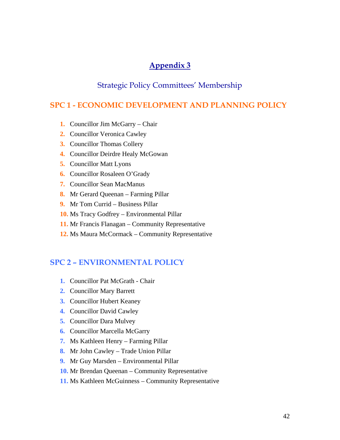# **Appendix 3**

# Strategic Policy Committees' Membership

# **SPC 1 - ECONOMIC DEVELOPMENT AND PLANNING POLICY**

- **1.** Councillor Jim McGarry Chair
- **2.** Councillor Veronica Cawley
- **3.** Councillor Thomas Collery
- **4.** Councillor Deirdre Healy McGowan
- **5.** Councillor Matt Lyons
- **6.** Councillor Rosaleen O'Grady
- **7.** Councillor Sean MacManus
- **8.** Mr Gerard Queenan Farming Pillar
- **9.** Mr Tom Currid Business Pillar
- **10.** Ms Tracy Godfrey Environmental Pillar
- **11.** Mr Francis Flanagan Community Representative
- **12.** Ms Maura McCormack Community Representative

# **SPC 2 – ENVIRONMENTAL POLICY**

- **1.** Councillor Pat McGrath Chair
- **2.** Councillor Mary Barrett
- **3.** Councillor Hubert Keaney
- **4.** Councillor David Cawley
- **5.** Councillor Dara Mulvey
- **6.** Councillor Marcella McGarry
- **7.** Ms Kathleen Henry Farming Pillar
- **8.** Mr John Cawley Trade Union Pillar
- **9.** Mr Guy Marsden Environmental Pillar
- **10.** Mr Brendan Queenan Community Representative
- **11.** Ms Kathleen McGuinness Community Representative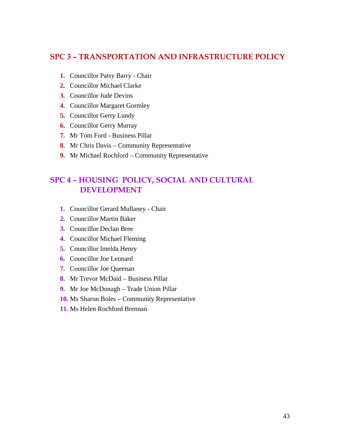# **SPC 3 – TRANSPORTATION AND INFRASTRUCTURE POLICY**

- **1.** Councillor Patsy Barry Chair
- **2.** Councillor Michael Clarke
- **3.** Councillor Jude Devins
- **4.** Councillor Margaret Gormley
- **5.** Councillor Gerry Lundy
- **6.** Councillor Gerry Murray
- **7.** Mr Tom Ford Business Pillar
- **8.** Mr Chris Davis Community Representative
- **9.** Mr Michael Rochford Community Representative

# **SPC 4 – HOUSING POLICY, SOCIAL AND CULTURAL DEVELOPMENT**

- **1.** Councillor Gerard Mullaney Chair
- **2.** Councillor Martin Baker
- **3.** Councillor Declan Bree
- **4.** Councillor Michael Fleming
- **5.** Councillor Imelda Henry
- **6.** Councillor Joe Leonard
- **7.** Councillor Joe Queenan
- **8.** Mr Trevor McDaid Business Pillar
- **9.** Mr Joe McDonagh Trade Union Pillar
- **10.** Ms Sharon Boles Community Representative
- **11.** Ms Helen Rochford Brennan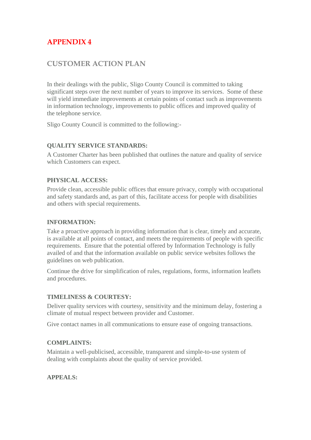# **APPENDIX 4**

# **CUSTOMER ACTION PLAN**

In their dealings with the public, Sligo County Council is committed to taking significant steps over the next number of years to improve its services. Some of these will yield immediate improvements at certain points of contact such as improvements in information technology, improvements to public offices and improved quality of the telephone service.

Sligo County Council is committed to the following:-

# **QUALITY SERVICE STANDARDS:**

A Customer Charter has been published that outlines the nature and quality of service which Customers can expect.

# **PHYSICAL ACCESS:**

Provide clean, accessible public offices that ensure privacy, comply with occupational and safety standards and, as part of this, facilitate access for people with disabilities and others with special requirements.

#### **INFORMATION:**

Take a proactive approach in providing information that is clear, timely and accurate, is available at all points of contact, and meets the requirements of people with specific requirements. Ensure that the potential offered by Information Technology is fully availed of and that the information available on public service websites follows the guidelines on web publication.

Continue the drive for simplification of rules, regulations, forms, information leaflets and procedures.

# **TIMELINESS & COURTESY:**

Deliver quality services with courtesy, sensitivity and the minimum delay, fostering a climate of mutual respect between provider and Customer.

Give contact names in all communications to ensure ease of ongoing transactions.

# **COMPLAINTS:**

Maintain a well-publicised, accessible, transparent and simple-to-use system of dealing with complaints about the quality of service provided.

# **APPEALS:**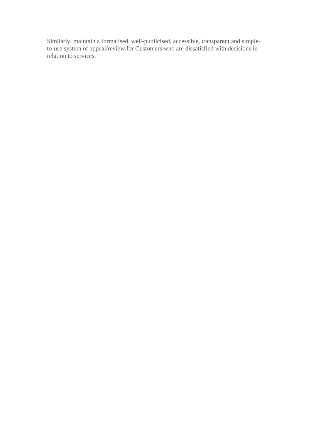Similarly, maintain a formalised, well-publicised, accessible, transparent and simpleto-use system of appeal/review for Customers who are dissatisfied with decisions in relation to services.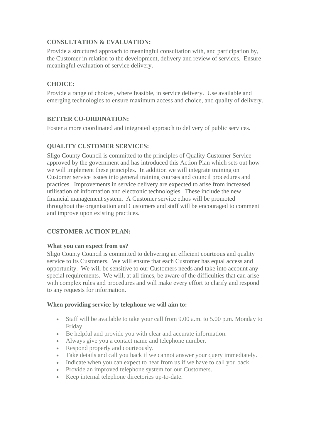# **CONSULTATION & EVALUATION:**

Provide a structured approach to meaningful consultation with, and participation by, the Customer in relation to the development, delivery and review of services. Ensure meaningful evaluation of service delivery.

# **CHOICE:**

Provide a range of choices, where feasible, in service delivery. Use available and emerging technologies to ensure maximum access and choice, and quality of delivery.

# **BETTER CO-ORDINATION:**

Foster a more coordinated and integrated approach to delivery of public services.

# **QUALITY CUSTOMER SERVICES:**

Sligo County Council is committed to the principles of Quality Customer Service approved by the government and has introduced this Action Plan which sets out how we will implement these principles. In addition we will integrate training on Customer service issues into general training courses and council procedures and practices. Improvements in service delivery are expected to arise from increased utilisation of information and electronic technologies. These include the new financial management system. A Customer service ethos will be promoted throughout the organisation and Customers and staff will be encouraged to comment and improve upon existing practices.

# **CUSTOMER ACTION PLAN:**

# **What you can expect from us?**

Sligo County Council is committed to delivering an efficient courteous and quality service to its Customers. We will ensure that each Customer has equal access and opportunity. We will be sensitive to our Customers needs and take into account any special requirements. We will, at all times, be aware of the difficulties that can arise with complex rules and procedures and will make every effort to clarify and respond to any requests for information.

# **When providing service by telephone we will aim to:**

- Staff will be available to take your call from 9.00 a.m. to 5.00 p.m. Monday to Friday.
- Be helpful and provide you with clear and accurate information.
- Always give you a contact name and telephone number.
- Respond properly and courteously.
- Take details and call you back if we cannot answer your query immediately.
- Indicate when you can expect to hear from us if we have to call you back.
- Provide an improved telephone system for our Customers.
- Keep internal telephone directories up-to-date.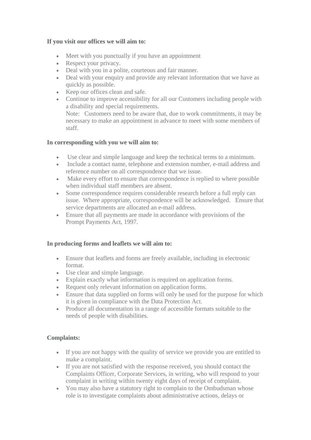# **If you visit our offices we will aim to:**

- Meet with you punctually if you have an appointment
- Respect your privacy.
- Deal with you in a polite, courteous and fair manner.
- Deal with your enquiry and provide any relevant information that we have as quickly as possible.
- Keep our offices clean and safe.
- Continue to improve accessibility for all our Customers including people with a disability and special requirements.

Note: Customers need to be aware that, due to work commitments, it may be necessary to make an appointment in advance to meet with some members of staff.

### **In corresponding with you we will aim to:**

- Use clear and simple language and keep the technical terms to a minimum.
- Include a contact name, telephone and extension number, e-mail address and reference number on all correspondence that we issue.
- Make every effort to ensure that correspondence is replied to where possible when individual staff members are absent.
- Some correspondence requires considerable research before a full reply can issue. Where appropriate, correspondence will be acknowledged. Ensure that service departments are allocated an e-mail address.
- Ensure that all payments are made in accordance with provisions of the Prompt Payments Act, 1997.

# **In producing forms and leaflets we will aim to:**

- Ensure that leaflets and forms are freely available, including in electronic format.
- Use clear and simple language.
- Explain exactly what information is required on application forms.
- Request only relevant information on application forms.
- Ensure that data supplied on forms will only be used for the purpose for which it is given in compliance with the Data Protection Act.
- Produce all documentation in a range of accessible formats suitable to the needs of people with disabilities.

# **Complaints:**

- If you are not happy with the quality of service we provide you are entitled to make a complaint.
- If you are not satisfied with the response received, you should contact the Complaints Officer, Corporate Services, in writing, who will respond to your complaint in writing within twenty eight days of receipt of complaint.
- You may also have a statutory right to complain to the Ombudsman whose role is to investigate complaints about administrative actions, delays or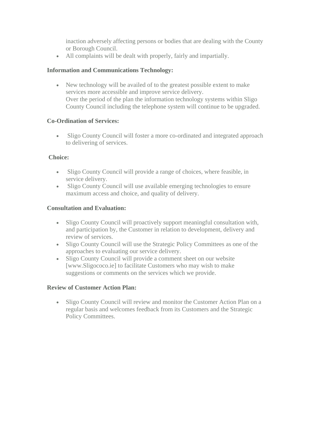inaction adversely affecting persons or bodies that are dealing with the County or Borough Council.

• All complaints will be dealt with properly, fairly and impartially.

# **Information and Communications Technology:**

• New technology will be availed of to the greatest possible extent to make services more accessible and improve service delivery. Over the period of the plan the information technology systems within Sligo County Council including the telephone system will continue to be upgraded.

# **Co-Ordination of Services:**

• Sligo County Council will foster a more co-ordinated and integrated approach to delivering of services.

# **Choice:**

- Sligo County Council will provide a range of choices, where feasible, in service delivery.
- Sligo County Council will use available emerging technologies to ensure maximum access and choice, and quality of delivery.

# **Consultation and Evaluation:**

- Sligo County Council will proactively support meaningful consultation with, and participation by, the Customer in relation to development, delivery and review of services.
- Sligo County Council will use the Strategic Policy Committees as one of the approaches to evaluating our service delivery.
- Sligo County Council will provide a comment sheet on our website [www.Sligococo.ie] to facilitate Customers who may wish to make suggestions or comments on the services which we provide.

# **Review of Customer Action Plan:**

• Sligo County Council will review and monitor the Customer Action Plan on a regular basis and welcomes feedback from its Customers and the Strategic Policy Committees.